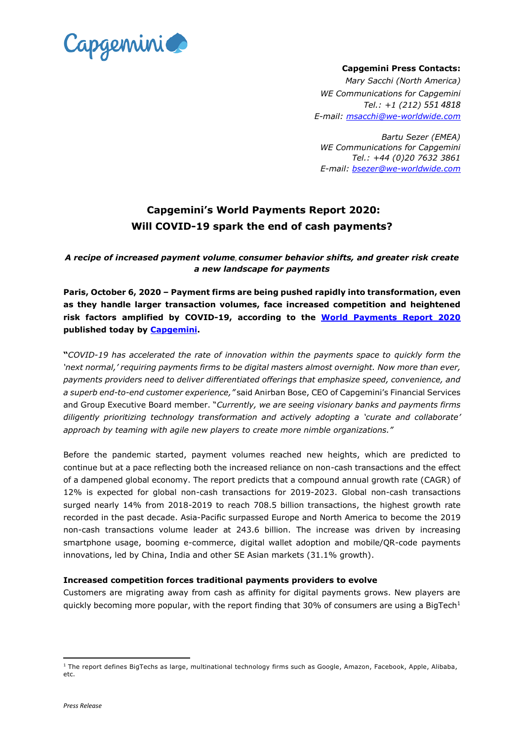

**Capgemini Press Contacts:**

*Mary Sacchi (North America) WE Communications for Capgemini Tel.: +1 (212) 551 4818 E-mail: [msacchi@we-worldwide.com](mailto:msacchi@we-worldwide.com)*

*Bartu Sezer (EMEA) WE Communications for Capgemini Tel.: +44 (0)20 7632 3861 E-mail: [bsezer@we-worldwide.com](mailto:bsezer@we-worldwide.com)*

# **Capgemini's World Payments Report 2020: Will COVID-19 spark the end of cash payments?**

*A recipe of increased payment volume*, *consumer behavior shifts, and greater risk create a new landscape for payments*

**Paris, October 6, 2020 – Payment firms are being pushed rapidly into transformation, even as they handle larger transaction volumes, face increased competition and heightened risk factors amplified by COVID-19, according to the World [Payments](http://www.worldpaymentsreport.com/) Report 2020 published today by [Capgemini.](https://www.capgemini.com/)**

**"***COVID-19 has accelerated the rate of innovation within the payments space to quickly form the 'next normal,' requiring payments firms to be digital masters almost overnight. Now more than ever, payments providers need to deliver differentiated offerings that emphasize speed, convenience, and a superb end-to-end customer experience,"* said Anirban Bose, CEO of Capgemini's Financial Services and Group Executive Board member. "*Currently, we are seeing visionary banks and payments firms diligently prioritizing technology transformation and actively adopting a 'curate and collaborate' approach by teaming with agile new players to create more nimble organizations."*

Before the pandemic started, payment volumes reached new heights, which are predicted to continue but at a pace reflecting both the increased reliance on non-cash transactions and the effect of a dampened global economy. The report predicts that a compound annual growth rate (CAGR) of 12% is expected for global non-cash transactions for 2019-2023. Global non-cash transactions surged nearly 14% from 2018-2019 to reach 708.5 billion transactions, the highest growth rate recorded in the past decade. Asia-Pacific surpassed Europe and North America to become the 2019 non-cash transactions volume leader at 243.6 billion. The increase was driven by increasing smartphone usage, booming e-commerce, digital wallet adoption and mobile/QR-code payments innovations, led by China, India and other SE Asian markets (31.1% growth).

## **Increased competition forces traditional payments providers to evolve**

Customers are migrating away from cash as affinity for digital payments grows. New players are quickly becoming more popular, with the report finding that 30% of consumers are using a BigTech<sup>1</sup>

<sup>&</sup>lt;sup>1</sup> The report defines BigTechs as large, multinational technology firms such as Google, Amazon, Facebook, Apple, Alibaba, etc.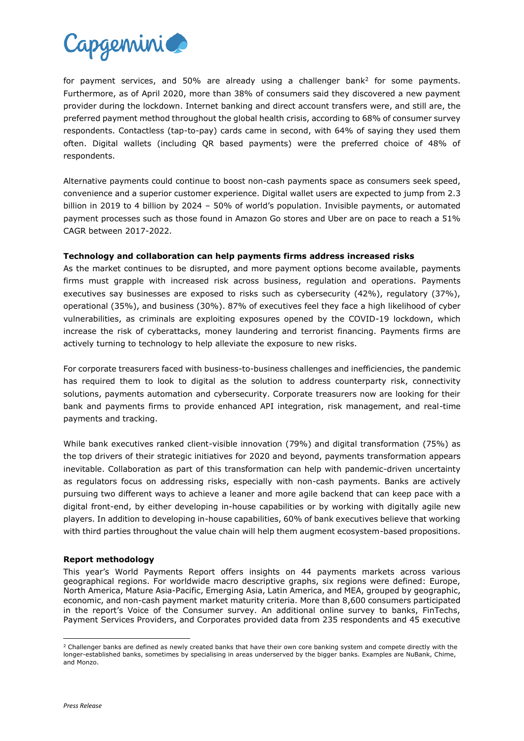

for payment services, and 50% are already using a challenger bank<sup>2</sup> for some payments. Furthermore, as of April 2020, more than 38% of consumers said they discovered a new payment provider during the lockdown. Internet banking and direct account transfers were, and still are, the preferred payment method throughout the global health crisis, according to 68% of consumer survey respondents. Contactless (tap-to-pay) cards came in second, with 64% of saying they used them often. Digital wallets (including QR based payments) were the preferred choice of 48% of respondents.

Alternative payments could continue to boost non-cash payments space as consumers seek speed, convenience and a superior customer experience. Digital wallet users are expected to jump from 2.3 billion in 2019 to 4 billion by 2024 – 50% of world's population. Invisible payments, or automated payment processes such as those found in Amazon Go stores and Uber are on pace to reach a 51% CAGR between 2017-2022.

## **Technology and collaboration can help payments firms address increased risks**

As the market continues to be disrupted, and more payment options become available, payments firms must grapple with increased risk across business, regulation and operations. Payments executives say businesses are exposed to risks such as cybersecurity (42%), regulatory (37%), operational (35%), and business (30%). 87% of executives feel they face a high likelihood of cyber vulnerabilities, as criminals are exploiting exposures opened by the COVID-19 lockdown, which increase the risk of cyberattacks, money laundering and terrorist financing. Payments firms are actively turning to technology to help alleviate the exposure to new risks.

For corporate treasurers faced with business-to-business challenges and inefficiencies, the pandemic has required them to look to digital as the solution to address counterparty risk, connectivity solutions, payments automation and cybersecurity. Corporate treasurers now are looking for their bank and payments firms to provide enhanced API integration, risk management, and real-time payments and tracking.

While bank executives ranked client-visible innovation (79%) and digital transformation (75%) as the top drivers of their strategic initiatives for 2020 and beyond, payments transformation appears inevitable. Collaboration as part of this transformation can help with pandemic-driven uncertainty as regulators focus on addressing risks, especially with non-cash payments. Banks are actively pursuing two different ways to achieve a leaner and more agile backend that can keep pace with a digital front-end, by either developing in-house capabilities or by working with digitally agile new players. In addition to developing in-house capabilities, 60% of bank executives believe that working with third parties throughout the value chain will help them augment ecosystem-based propositions.

### **Report methodology**

This year's World Payments Report offers insights on 44 payments markets across various geographical regions. For worldwide macro descriptive graphs, six regions were defined: Europe, North America, Mature Asia-Pacific, Emerging Asia, Latin America, and MEA, grouped by geographic, economic, and non-cash payment market maturity criteria. More than 8,600 consumers participated in the report's Voice of the Consumer survey. An additional online survey to banks, FinTechs, Payment Services Providers, and Corporates provided data from 235 respondents and 45 executive

<sup>&</sup>lt;sup>2</sup> Challenger banks are defined as newly created banks that have their own core banking system and compete directly with the longer-established banks, sometimes by specialising in areas underserved by the bigger banks. Examples are NuBank, Chime, and Monzo.